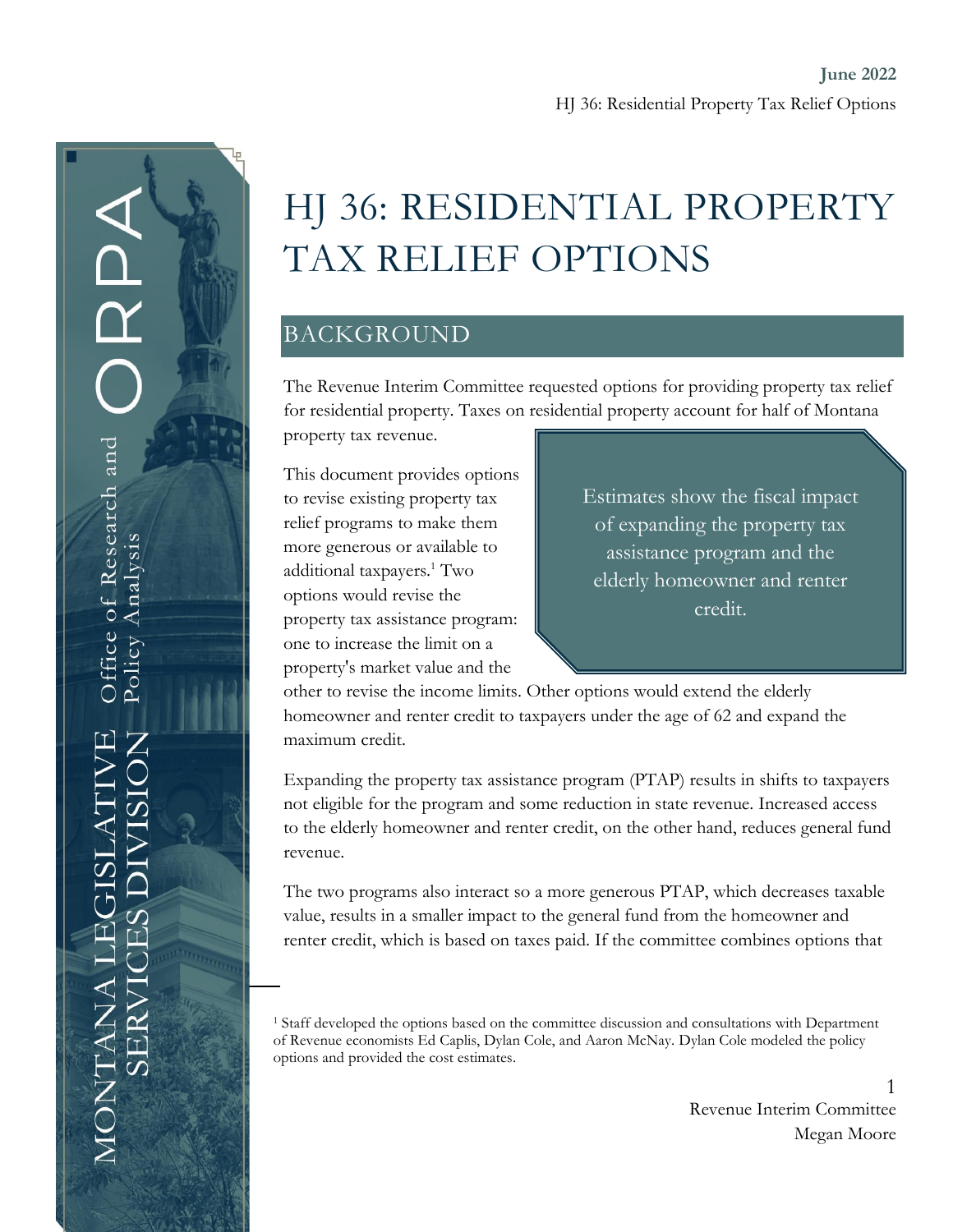# HJ 36: RESIDENTIAL PROPERTY TAX RELIEF OPTIONS

## BACKGROUND

The Revenue Interim Committee requested options for providing property tax relief for residential property. Taxes on residential property account for half of Montana

property tax revenue.

This document provides options to revise existing property tax relief programs to make them more generous or available to additional taxpayers.<sup>1</sup> Two options would revise the property tax assistance program: one to increase the limit on a property's market value and the

Estimates show the fiscal impact of expanding the property tax assistance program and the elderly homeowner and renter credit.

other to revise the income limits. Other options would extend the elderly homeowner and renter credit to taxpayers under the age of 62 and expand the maximum credit.

Expanding the property tax assistance program (PTAP) results in shifts to taxpayers not eligible for the program and some reduction in state revenue. Increased access to the elderly homeowner and renter credit, on the other hand, reduces general fund revenue.

The two programs also interact so a more generous PTAP, which decreases taxable value, results in a smaller impact to the general fund from the homeowner and renter credit, which is based on taxes paid. If the committee combines options that

<sup>1</sup> Staff developed the options based on the committee discussion and consultations with Department of Revenue economists Ed Caplis, Dylan Cole, and Aaron McNay. Dylan Cole modeled the policy options and provided the cost estimates.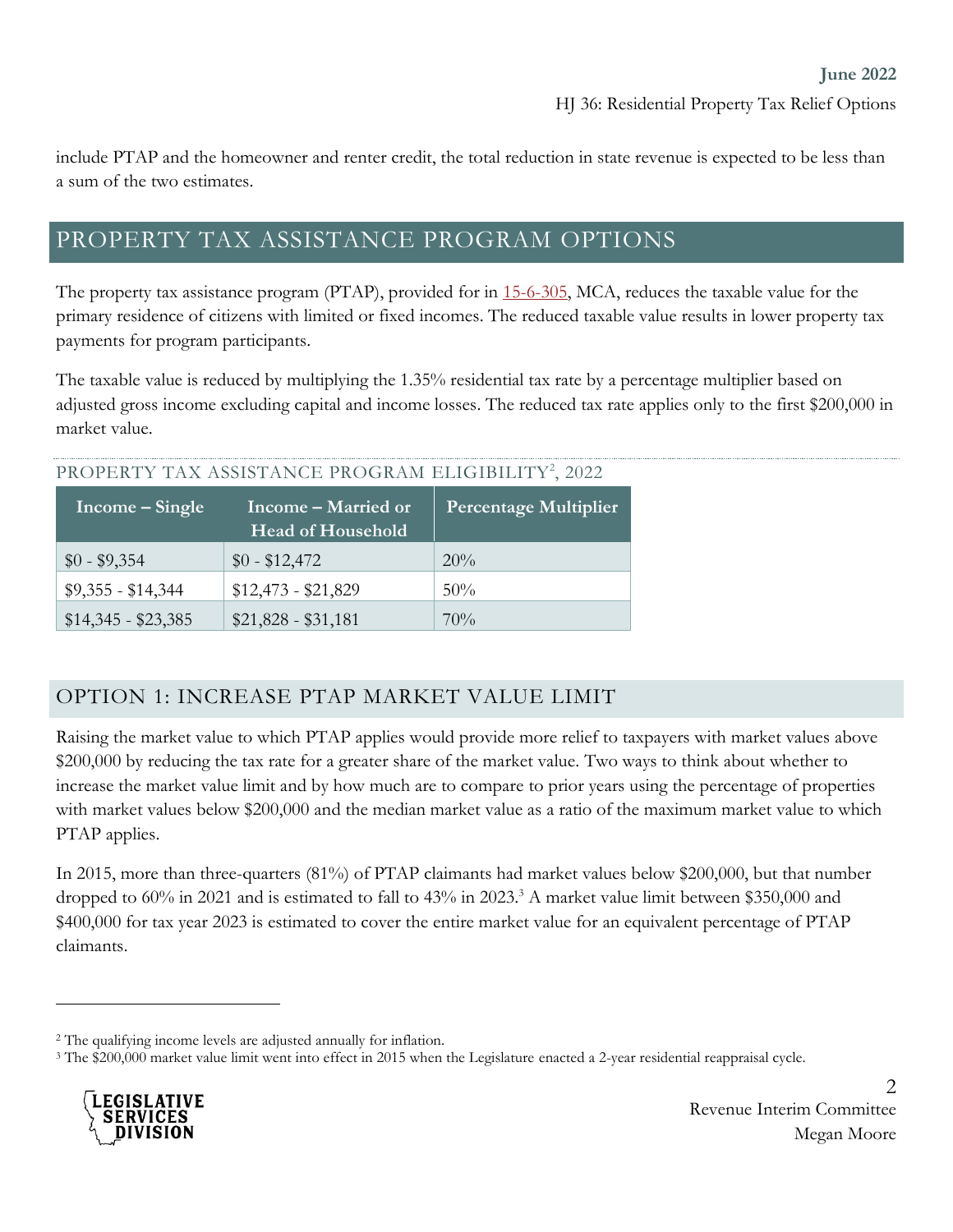include PTAP and the homeowner and renter credit, the total reduction in state revenue is expected to be less than a sum of the two estimates.

# PROPERTY TAX ASSISTANCE PROGRAM OPTIONS

The property tax assistance program (PTAP), provided for in [15-6-305,](https://leg.mt.gov/bills/mca/title_0150/chapter_0060/part_0030/section_0050/0150-0060-0030-0050.html) MCA, reduces the taxable value for the primary residence of citizens with limited or fixed incomes. The reduced taxable value results in lower property tax payments for program participants.

The taxable value is reduced by multiplying the 1.35% residential tax rate by a percentage multiplier based on adjusted gross income excluding capital and income losses. The reduced tax rate applies only to the first \$200,000 in market value.

#### PROPERTY TAX ASSISTANCE PROGRAM ELIGIBILITY<sup>2</sup>, 2022

| Income – Single     | Income – Married or<br>Head of Household | <b>Percentage Multiplier</b> |
|---------------------|------------------------------------------|------------------------------|
| $$0 - $9,354$       | $$0 - $12,472$                           | $20\%$                       |
| $$9,355 - $14,344$  | $$12,473 - $21,829$                      | $50\%$                       |
| $$14,345 - $23,385$ | $$21,828 - $31,181$                      | 70%                          |

#### OPTION 1: INCREASE PTAP MARKET VALUE LIMIT

Raising the market value to which PTAP applies would provide more relief to taxpayers with market values above \$200,000 by reducing the tax rate for a greater share of the market value. Two ways to think about whether to increase the market value limit and by how much are to compare to prior years using the percentage of properties with market values below \$200,000 and the median market value as a ratio of the maximum market value to which PTAP applies.

In 2015, more than three-quarters (81%) of PTAP claimants had market values below \$200,000, but that number dropped to 60% in 2021 and is estimated to fall to 43% in 2023.<sup>3</sup> A market value limit between \$350,000 and \$400,000 for tax year 2023 is estimated to cover the entire market value for an equivalent percentage of PTAP claimants.

<sup>3</sup> The \$200,000 market value limit went into effect in 2015 when the Legislature enacted a 2-year residential reappraisal cycle.



<sup>2</sup> The qualifying income levels are adjusted annually for inflation.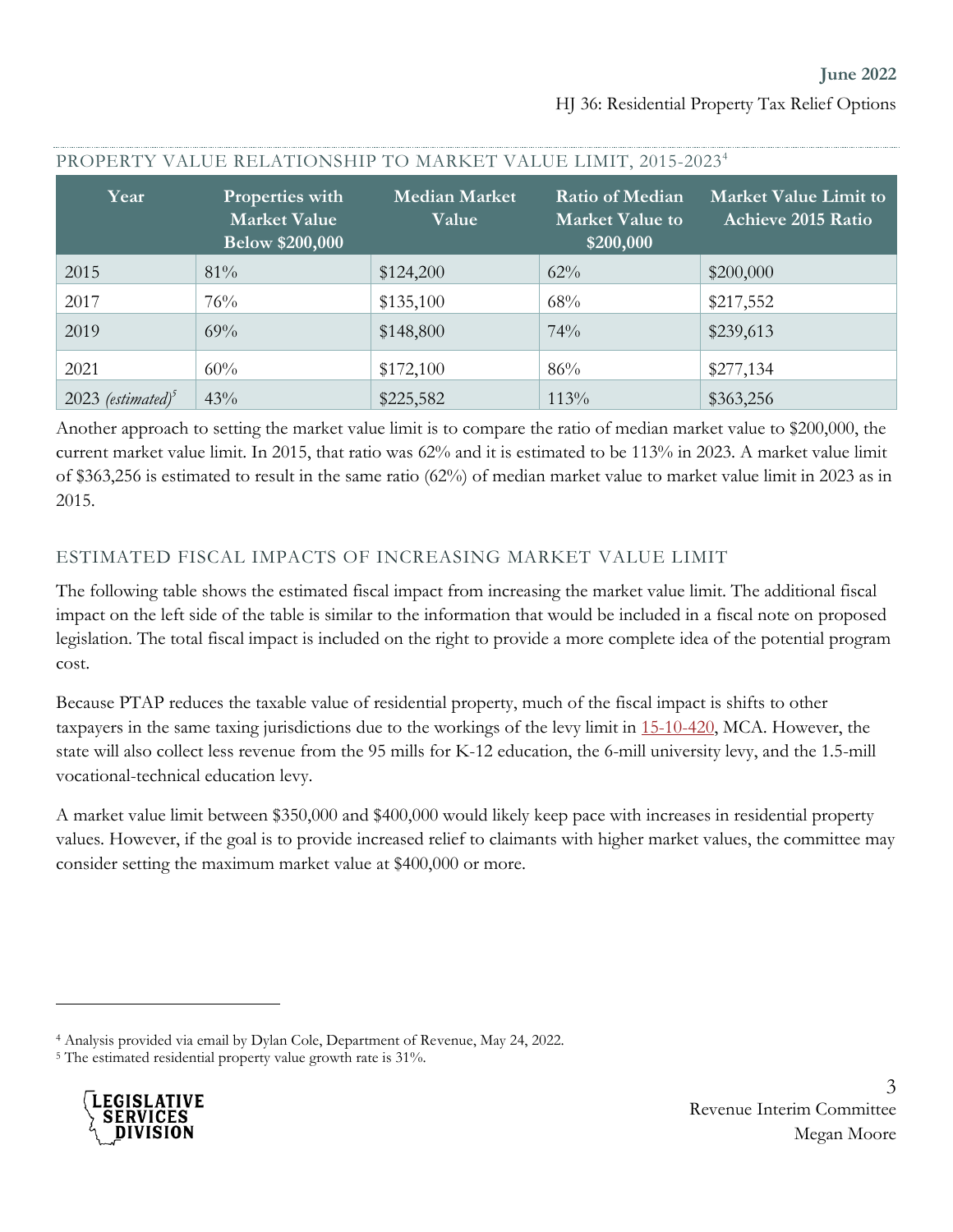| Year                            | Properties with<br><b>Market Value</b><br><b>Below \$200,000</b> | <b>Median Market</b><br>Value | <b>Ratio of Median</b><br><b>Market Value to</b><br>\$200,000 | <b>Market Value Limit to</b><br><b>Achieve 2015 Ratio</b> |
|---------------------------------|------------------------------------------------------------------|-------------------------------|---------------------------------------------------------------|-----------------------------------------------------------|
| 2015                            | 81%                                                              | \$124,200                     | 62%                                                           | \$200,000                                                 |
| 2017                            | 76%                                                              | \$135,100                     | 68%                                                           | \$217,552                                                 |
| 2019                            | 69%                                                              | \$148,800                     | 74%                                                           | \$239,613                                                 |
| 2021                            | 60%                                                              | \$172,100                     | 86%                                                           | \$277,134                                                 |
| $2023$ (estimated) <sup>5</sup> | 43%                                                              | \$225,582                     | 113%                                                          | \$363,256                                                 |

#### PROPERTY VALUE RELATIONSHIP TO MARKET VALUE LIMIT, 2015-2023<sup>4</sup>

Another approach to setting the market value limit is to compare the ratio of median market value to \$200,000, the current market value limit. In 2015, that ratio was 62% and it is estimated to be 113% in 2023. A market value limit of \$363,256 is estimated to result in the same ratio (62%) of median market value to market value limit in 2023 as in 2015.

#### ESTIMATED FISCAL IMPACTS OF INCREASING MARKET VALUE LIMIT

The following table shows the estimated fiscal impact from increasing the market value limit. The additional fiscal impact on the left side of the table is similar to the information that would be included in a fiscal note on proposed legislation. The total fiscal impact is included on the right to provide a more complete idea of the potential program cost.

Because PTAP reduces the taxable value of residential property, much of the fiscal impact is shifts to other taxpayers in the same taxing jurisdictions due to the workings of the levy limit in [15-10-420,](https://leg.mt.gov/bills/mca/title_0150/chapter_0100/part_0040/section_0200/0150-0100-0040-0200.html) MCA. However, the state will also collect less revenue from the 95 mills for K-12 education, the 6-mill university levy, and the 1.5-mill vocational-technical education levy.

A market value limit between \$350,000 and \$400,000 would likely keep pace with increases in residential property values. However, if the goal is to provide increased relief to claimants with higher market values, the committee may consider setting the maximum market value at \$400,000 or more.

<sup>&</sup>lt;sup>5</sup> The estimated residential property value growth rate is 31%.



<sup>4</sup> Analysis provided via email by Dylan Cole, Department of Revenue, May 24, 2022.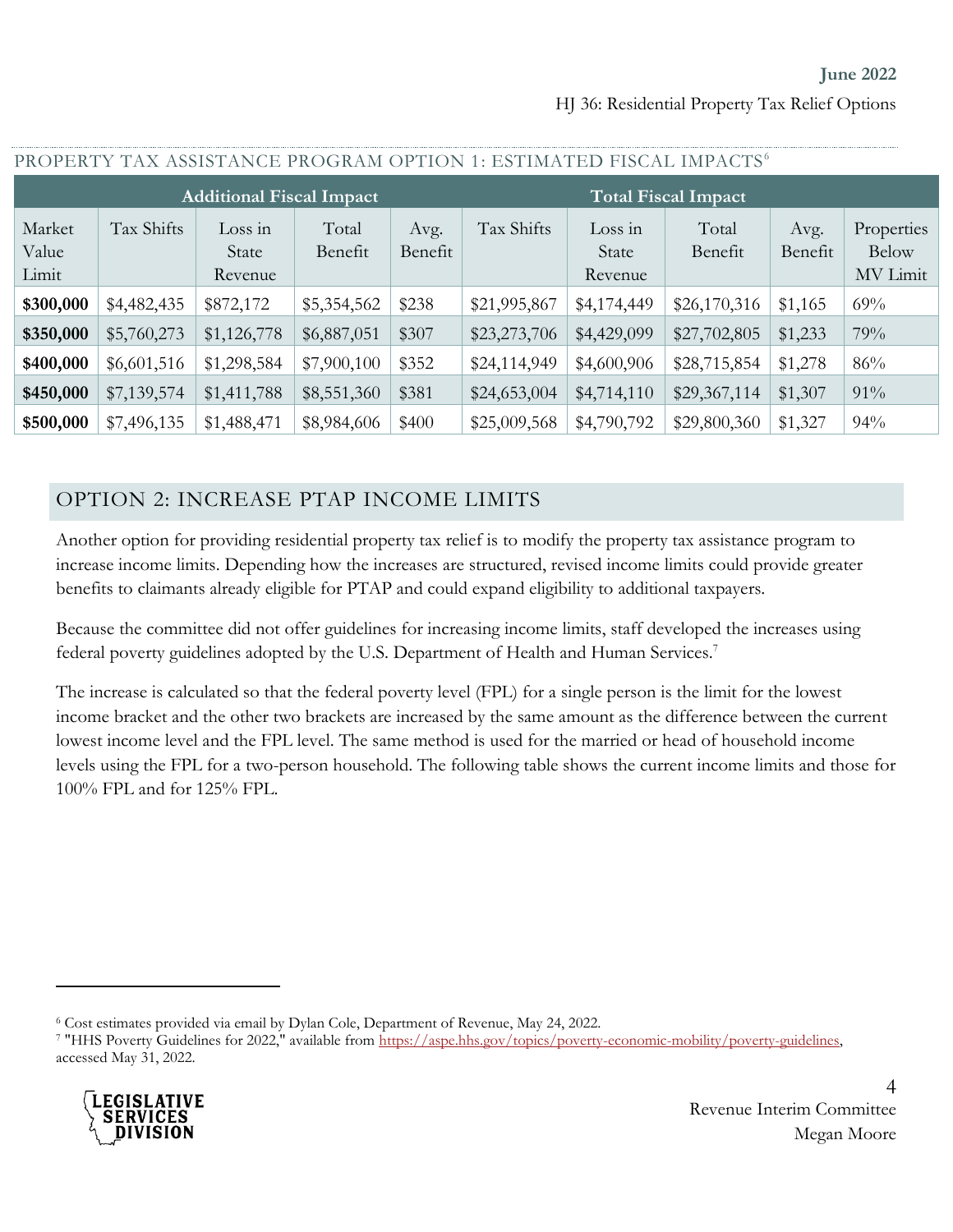**June 2022** HJ 36: Residential Property Tax Relief Options

| PROPERTY TAX ASSISTANCE PROGRAM OPTION 1: ESTIMATED FISCAL IMPACTS <sup>6</sup> |             |                             |                  |                 |              |                             |                  |                 |                                        |
|---------------------------------------------------------------------------------|-------------|-----------------------------|------------------|-----------------|--------------|-----------------------------|------------------|-----------------|----------------------------------------|
| <b>Additional Fiscal Impact</b><br><b>Total Fiscal Impact</b>                   |             |                             |                  |                 |              |                             |                  |                 |                                        |
| Market<br>Value<br>Limit                                                        | Tax Shifts  | Loss in<br>State<br>Revenue | Total<br>Benefit | Avg.<br>Benefit | Tax Shifts   | Loss in<br>State<br>Revenue | Total<br>Benefit | Avg.<br>Benefit | Properties<br><b>Below</b><br>MV Limit |
| \$300,000                                                                       | \$4,482,435 | \$872,172                   | \$5,354,562      | \$238           | \$21,995,867 | \$4,174,449                 | \$26,170,316     | \$1,165         | 69%                                    |
| \$350,000                                                                       | \$5,760,273 | \$1,126,778                 | \$6,887,051      | \$307           | \$23,273,706 | \$4,429,099                 | \$27,702,805     | \$1,233         | 79%                                    |
| \$400,000                                                                       | \$6,601,516 | \$1,298,584                 | \$7,900,100      | \$352           | \$24,114,949 | \$4,600,906                 | \$28,715,854     | \$1,278         | 86%                                    |
| \$450,000                                                                       | \$7,139,574 | \$1,411,788                 | \$8,551,360      | \$381           | \$24,653,004 | \$4,714,110                 | \$29,367,114     | \$1,307         | 91%                                    |
| \$500,000                                                                       | \$7,496,135 | \$1,488,471                 | \$8,984,606      | \$400           | \$25,009,568 | \$4,790,792                 | \$29,800,360     | \$1,327         | 94%                                    |

#### OPTION 2: INCREASE PTAP INCOME LIMITS

Another option for providing residential property tax relief is to modify the property tax assistance program to increase income limits. Depending how the increases are structured, revised income limits could provide greater benefits to claimants already eligible for PTAP and could expand eligibility to additional taxpayers.

Because the committee did not offer guidelines for increasing income limits, staff developed the increases using federal poverty guidelines adopted by the U.S. Department of Health and Human Services.<sup>7</sup>

The increase is calculated so that the federal poverty level (FPL) for a single person is the limit for the lowest income bracket and the other two brackets are increased by the same amount as the difference between the current lowest income level and the FPL level. The same method is used for the married or head of household income levels using the FPL for a two-person household. The following table shows the current income limits and those for 100% FPL and for 125% FPL.

<sup>&</sup>lt;sup>7</sup> "HHS Poverty Guidelines for 2022," available from https://aspe.hhs.gov/topics/poverty-economic-mobility/poverty-guidelines, accessed May 31, 2022.



<sup>6</sup> Cost estimates provided via email by Dylan Cole, Department of Revenue, May 24, 2022.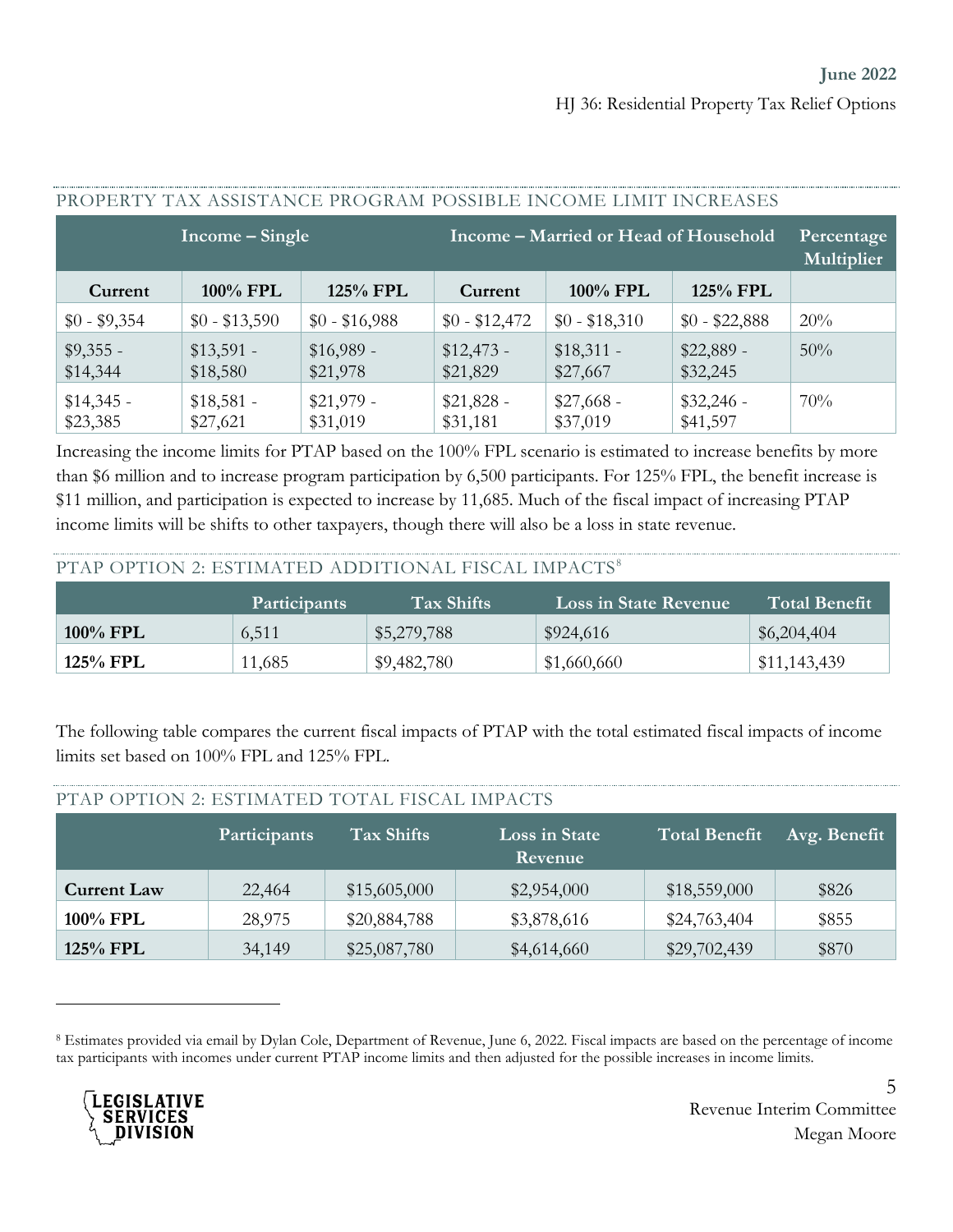| TIMAT EIKI I TITA TIONINTITIIVAETIMAANIN TANNUDEE IIJAANIE EIKITTI TIJAIKENDEN |                         |                         |                                       |                          |                         |     |  |  |  |
|--------------------------------------------------------------------------------|-------------------------|-------------------------|---------------------------------------|--------------------------|-------------------------|-----|--|--|--|
|                                                                                | Income – Single         |                         | Income – Married or Head of Household | Percentage<br>Multiplier |                         |     |  |  |  |
| Current                                                                        | 100% FPL                | 125% FPL                | Current                               | 100% FPL                 | 125% FPL                |     |  |  |  |
| $$0 - $9,354$                                                                  | $$0 - $13,590$          | $$0 - $16,988$          | $$0 - $12,472$                        | $$0 - $18,310$           | $$0 - $22,888$          | 20% |  |  |  |
| $$9,355 -$<br>\$14,344                                                         | $$13,591 -$<br>\$18,580 | $$16,989 -$<br>\$21,978 | $$12,473-$<br>\$21,829                | $$18,311 -$<br>\$27,667  | $$22,889$ -<br>\$32,245 | 50% |  |  |  |
| $$14,345$ -<br>\$23,385                                                        | $$18,581 -$<br>\$27,621 | $$21,979$ -<br>\$31,019 | $$21,828 -$<br>\$31,181               | $$27,668 -$<br>\$37,019  | $$32,246 -$<br>\$41,597 | 70% |  |  |  |

#### PROPERTY TAX ASSISTANCE PROGRAM POSSIBLE INCOME LIMIT INCREASES

Increasing the income limits for PTAP based on the 100% FPL scenario is estimated to increase benefits by more than \$6 million and to increase program participation by 6,500 participants. For 125% FPL, the benefit increase is \$11 million, and participation is expected to increase by 11,685. Much of the fiscal impact of increasing PTAP income limits will be shifts to other taxpayers, though there will also be a loss in state revenue.

#### PTAP OPTION 2: ESTIMATED ADDITIONAL FISCAL IMPACTS<sup>8</sup>

PTAP OPTION 2: ESTIMATED TOTAL FISCAL IMPACTS

|             | <b>Participants</b> | $\rm{Tax~Shifts}$ | Loss in State Revenue | <b>Total Benefit</b> |
|-------------|---------------------|-------------------|-----------------------|----------------------|
| $100\%$ FPL | 6,511               | \$5,279,788       | \$924,616             | \$6,204,404          |
| 125% FPL    | 11,685              | \$9,482,780       | \$1,660,660           | \$11,143,439         |

The following table compares the current fiscal impacts of PTAP with the total estimated fiscal impacts of income limits set based on 100% FPL and 125% FPL.

| PTAP OPTION 2: ESTIMATED TOTAL FISCAL IMPACTS |              |              |                          |                      |              |  |  |  |  |  |
|-----------------------------------------------|--------------|--------------|--------------------------|----------------------|--------------|--|--|--|--|--|
|                                               | Participants | Tax Shifts   | Loss in State<br>Revenue | <b>Total Benefit</b> | Avg. Benefit |  |  |  |  |  |
| <b>Current Law</b>                            | 22,464       | \$15,605,000 | \$2,954,000              | \$18,559,000         | \$826        |  |  |  |  |  |
| 100% FPL                                      | 28,975       | \$20,884,788 | \$3,878,616              | \$24,763,404         | \$855        |  |  |  |  |  |
| 125% FPL                                      | 34,149       | \$25,087,780 | \$4,614,660              | \$29,702,439         | \$870        |  |  |  |  |  |

<sup>8</sup> Estimates provided via email by Dylan Cole, Department of Revenue, June 6, 2022. Fiscal impacts are based on the percentage of income tax participants with incomes under current PTAP income limits and then adjusted for the possible increases in income limits.

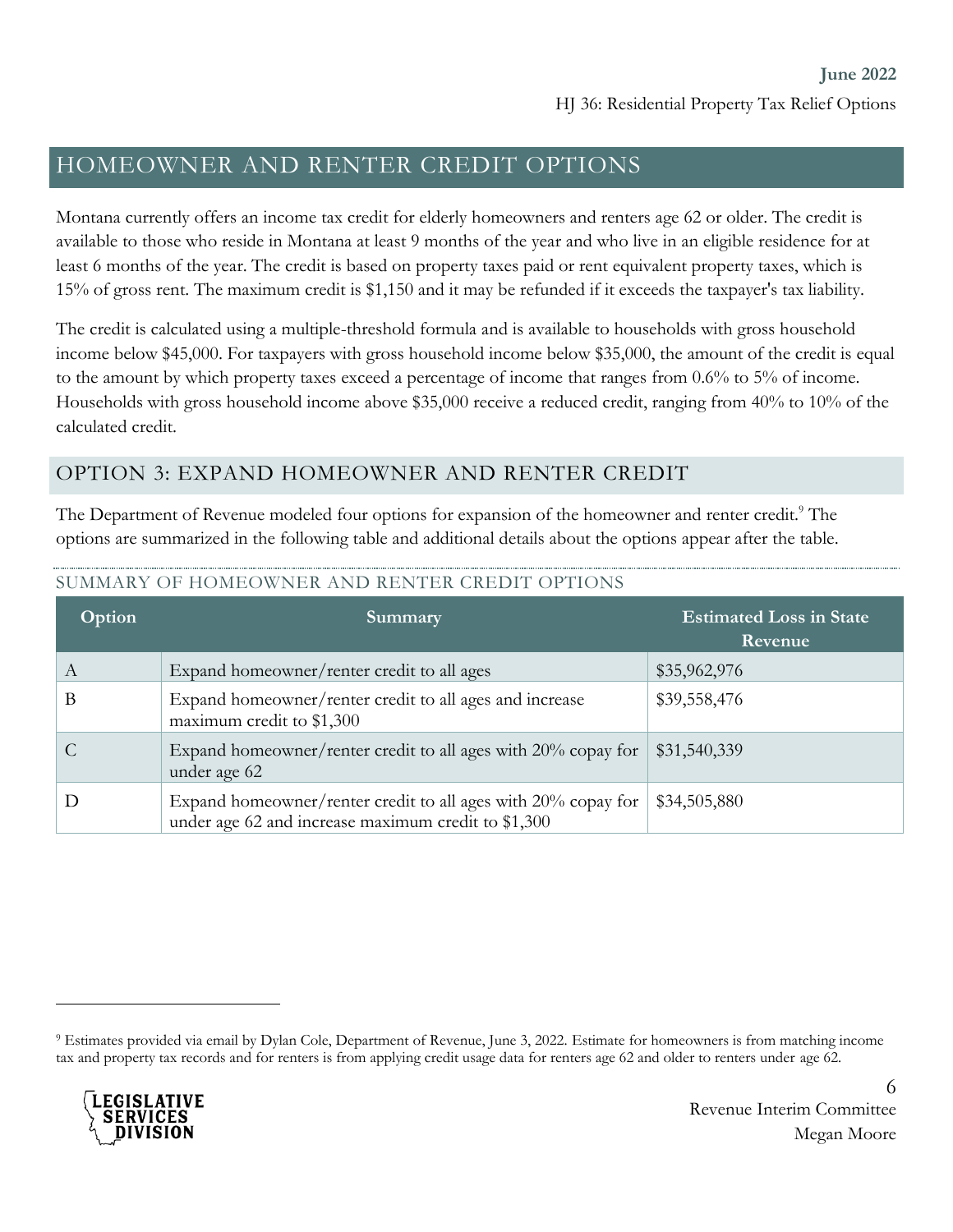# HOMEOWNER AND RENTER CREDIT OPTIONS

Montana currently offers an income tax credit for elderly homeowners and renters age 62 or older. The credit is available to those who reside in Montana at least 9 months of the year and who live in an eligible residence for at least 6 months of the year. The credit is based on property taxes paid or rent equivalent property taxes, which is 15% of gross rent. The maximum credit is \$1,150 and it may be refunded if it exceeds the taxpayer's tax liability.

The credit is calculated using a multiple-threshold formula and is available to households with gross household income below \$45,000. For taxpayers with gross household income below \$35,000, the amount of the credit is equal to the amount by which property taxes exceed a percentage of income that ranges from 0.6% to 5% of income. Households with gross household income above \$35,000 receive a reduced credit, ranging from 40% to 10% of the calculated credit.

### OPTION 3: EXPAND HOMEOWNER AND RENTER CREDIT

The Department of Revenue modeled four options for expansion of the homeowner and renter credit.<sup>9</sup> The options are summarized in the following table and additional details about the options appear after the table.

| Option | Summary                                                                                                              | <b>Estimated Loss in State</b><br>Revenue |
|--------|----------------------------------------------------------------------------------------------------------------------|-------------------------------------------|
| А      | Expand homeowner/renter credit to all ages                                                                           | \$35,962,976                              |
| B      | Expand homeowner/renter credit to all ages and increase<br>maximum credit to \$1,300                                 | \$39,558,476                              |
|        | Expand homeowner/renter credit to all ages with 20% copay for<br>under age 62                                        | \$31,540,339                              |
|        | Expand homeowner/renter credit to all ages with 20% copay for<br>under age 62 and increase maximum credit to \$1,300 | \$34,505,880                              |

#### SUMMARY OF HOMEOWNER AND RENTER CREDIT OPTIONS

<sup>9</sup> Estimates provided via email by Dylan Cole, Department of Revenue, June 3, 2022. Estimate for homeowners is from matching income tax and property tax records and for renters is from applying credit usage data for renters age 62 and older to renters under age 62.

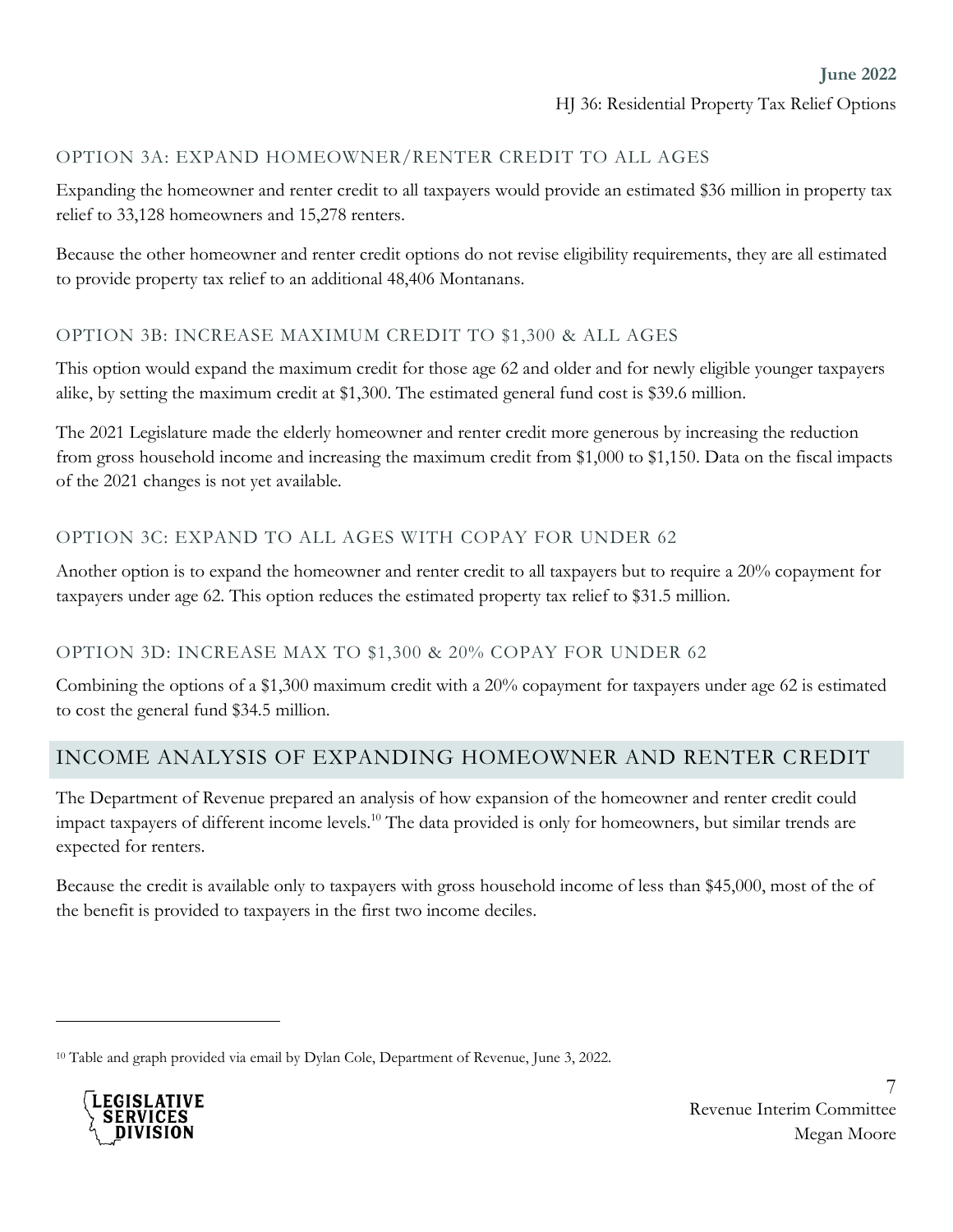#### OPTION 3A: EXPAND HOMEOWNER/RENTER CREDIT TO ALL AGES

Expanding the homeowner and renter credit to all taxpayers would provide an estimated \$36 million in property tax relief to 33,128 homeowners and 15,278 renters.

Because the other homeowner and renter credit options do not revise eligibility requirements, they are all estimated to provide property tax relief to an additional 48,406 Montanans.

#### OPTION 3B: INCREASE MAXIMUM CREDIT TO \$1,300 & ALL AGES

This option would expand the maximum credit for those age 62 and older and for newly eligible younger taxpayers alike, by setting the maximum credit at \$1,300. The estimated general fund cost is \$39.6 million.

The 2021 Legislature made the elderly homeowner and renter credit more generous by increasing the reduction from gross household income and increasing the maximum credit from \$1,000 to \$1,150. Data on the fiscal impacts of the 2021 changes is not yet available.

#### OPTION 3C: EXPAND TO ALL AGES WITH COPAY FOR UNDER 62

Another option is to expand the homeowner and renter credit to all taxpayers but to require a 20% copayment for taxpayers under age 62. This option reduces the estimated property tax relief to \$31.5 million.

#### OPTION 3D: INCREASE MAX TO \$1,300 & 20% COPAY FOR UNDER 62

Combining the options of a \$1,300 maximum credit with a 20% copayment for taxpayers under age 62 is estimated to cost the general fund \$34.5 million.

#### INCOME ANALYSIS OF EXPANDING HOMEOWNER AND RENTER CREDIT

The Department of Revenue prepared an analysis of how expansion of the homeowner and renter credit could impact taxpayers of different income levels.<sup>10</sup> The data provided is only for homeowners, but similar trends are expected for renters.

Because the credit is available only to taxpayers with gross household income of less than \$45,000, most of the of the benefit is provided to taxpayers in the first two income deciles.

<sup>10</sup> Table and graph provided via email by Dylan Cole, Department of Revenue, June 3, 2022.